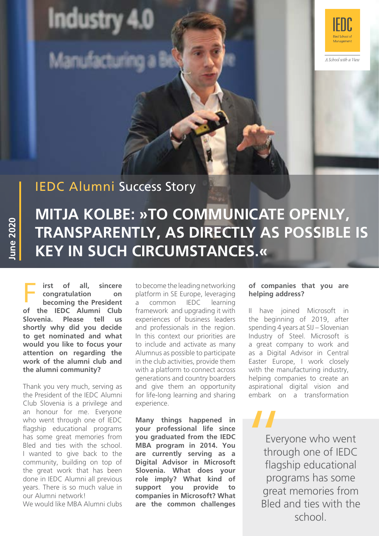**Industry** 

දුමින් අවස්ථා



A School with a View

## IEDC Alumni Success Story

# **MITJA KOLBE: »TO COMMUNICATE OPENLY, TRANSPARENTLY, AS DIRECTLY AS POSSIBLE IS KEY IN SUCH CIRCUMSTANCES.«**

**F irst of all, sincere** to become the leading networking<br> **Consider to become the leading networking**<br> **Consider the President** a common IEDC learning **irst of all, sincere congratulation on becoming the President of the IEDC Alumni Club Slovenia. Please tell us shortly why did you decide to get nominated and what would you like to focus your attention on regarding the work of the alumni club and the alumni community?**

**June 2020**

**June 2020** 

Thank you very much, serving as the President of the IEDC Alumni Club Slovenia is a privilege and an honour for me. Everyone who went through one of IEDC flagship educational programs has some great memories from Bled and ties with the school. I wanted to give back to the community, building on top of the great work that has been done in IEDC Alumni all previous years. There is so much value in our Alumni network!

We would like MBA Alumni clubs

platform in SE Europe, leveraging a common IEDC learning framework and upgrading it with experiences of business leaders and professionals in the region. In this context our priorities are to include and activate as many Alumnus as possible to participate in the club activities, provide them with a platform to connect across generations and country boarders and give them an opportunity for life-long learning and sharing experience.

**Many things happened in your professional life since you graduated from the IEDC MBA program in 2014. You are currently serving as a Digital Advisor in Microsoft Slovenia. What does your role imply? What kind of support you provide to companies in Microsoft? What are the common challenges** 

#### **of companies that you are helping address?**

II have joined Microsoft in the beginning of 2019, after spending 4 years at SIJ – Slovenian Industry of Steel. Microsoft is a great company to work and as a Digital Advisor in Central Easter Europe, I work closely with the manufacturing industry, helping companies to create an aspirational digital vision and embark on a transformation

Ever<br>
Ever<br>
throu<br>
flags<br>
proc Everyone who went through one of IEDC flagship educational programs has some great memories from Bled and ties with the school.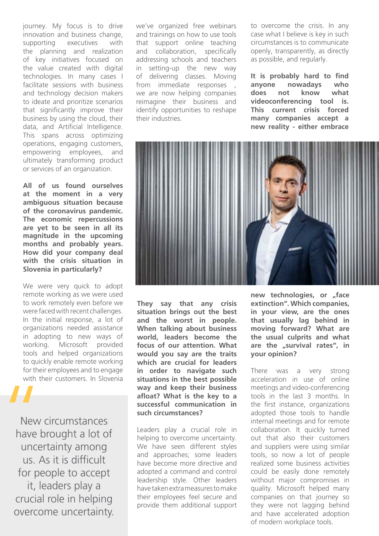journey. My focus is to drive innovation and business change, supporting executives with the planning and realization of key initiatives focused on the value created with digital technologies. In many cases I facilitate sessions with business and technology decision makers to ideate and prioritize scenarios that significantly improve their business by using the cloud, their data, and Artificial Intelligence. This spans across optimizing operations, engaging customers, empowering employees, and ultimately transforming product or services of an organization.

**All of us found ourselves at the moment in a very ambiguous situation because of the coronavirus pandemic. The economic repercussions are yet to be seen in all its magnitude in the upcoming months and probably years. How did your company deal with the crisis situation in Slovenia in particularly?**

We were very quick to adopt remote working as we were used to work remotely even before we were faced with recent challenges. In the initial response, a lot of organizations needed assistance in adopting to new ways of working. Microsoft provided tools and helped organizations to quickly enable remote working for their employees and to engage with their customers. In Slovenia

New circumstances have brought a lot of uncertainty among us. As it is difficult for people to accept it, leaders play a crucial role in helping overcome uncertainty. New<br>
New<br>
have k<br>
unce

we've organized free webinars and trainings on how to use tools that support online teaching and collaboration, specifically addressing schools and teachers in setting-up the new way of delivering classes. Moving from immediate responses , we are now helping companies reimagine their business and identify opportunities to reshape their industries.

to overcome the crisis. In any case what I believe is key in such circumstances is to communicate openly, transparently, as directly as possible, and regularly.

**It is probably hard to find anyone nowadays who does not know what videoconferencing tool is. This current crisis forced many companies accept a new reality - either embrace** 



**They say that any crisis situation brings out the best and the worst in people. When talking about business world, leaders become the focus of our attention. What would you say are the traits which are crucial for leaders in order to navigate such situations in the best possible way and keep their business afloat? What is the key to a successful communication in such circumstances?**

Leaders play a crucial role in helping to overcome uncertainty. We have seen different styles and approaches; some leaders have become more directive and adopted a command and control leadership style. Other leaders have taken extra measures to make their employees feel secure and provide them additional support

**new technologies, or "face extinction". Which companies, in your view, are the ones that usually lag behind in moving forward? What are the usual culprits and what**  are the "survival rates", in **your opinion?** 

There was a very strong acceleration in use of online meetings and video-conferencing tools in the last 3 months. In the first instance, organizations adopted those tools to handle internal meetings and for remote collaboration. It quickly turned out that also their customers and suppliers were using similar tools, so now a lot of people realized some business activities could be easily done remotely without major compromises in quality. Microsoft helped many companies on that journey so they were not lagging behind and have accelerated adoption of modern workplace tools.